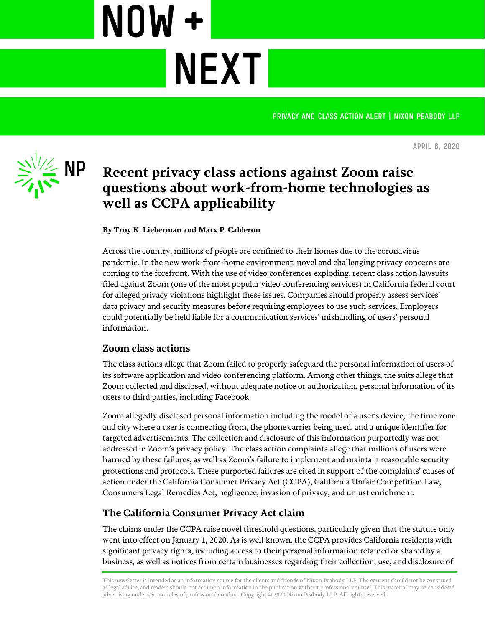PRIVACY AND CLASS ACTION ALERT | NIXON PEABODY LLP

**April 6, 2020**



**Recent privacy class actions against Zoom raise questions about work-from-home technologies as well as CCPA applicability**

**NEXT** 

**By Troy K. Lieberman and Marx P. Calderon**

NOW +

Across the country, millions of people are confined to their homes due to the coronavirus pandemic. In the new work-from-home environment, novel and challenging privacy concerns are coming to the forefront. With the use of video conferences exploding, recent class action lawsuits filed against Zoom (one of the most popular video conferencing services) in California federal court for alleged privacy violations highlight these issues. Companies should properly assess services' data privacy and security measures before requiring employees to use such services. Employers could potentially be held liable for a communication services' mishandling of users' personal information.

## **Zoom class actions**

The class actions allege that Zoom failed to properly safeguard the personal information of users of its software application and video conferencing platform. Among other things, the suits allege that Zoom collected and disclosed, without adequate notice or authorization, personal information of its users to third parties, including Facebook.

Zoom allegedly disclosed personal information including the model of a user's device, the time zone and city where a user is connecting from, the phone carrier being used, and a unique identifier for targeted advertisements. The collection and disclosure of this information purportedly was not addressed in Zoom's privacy policy. The class action complaints allege that millions of users were harmed by these failures, as well as Zoom's failure to implement and maintain reasonable security protections and protocols. These purported failures are cited in support of the complaints' causes of action under the California Consumer Privacy Act (CCPA), California Unfair Competition Law, Consumers Legal Remedies Act, negligence, invasion of privacy, and unjust enrichment.

## **The California Consumer Privacy Act claim**

The claims under the CCPA raise novel threshold questions, particularly given that the statute only went into effect on January 1, 2020. As is well known, the CCPA provides California residents with significant privacy rights, including access to their personal information retained or shared by a business, as well as notices from certain businesses regarding their collection, use, and disclosure of

This newsletter is intended as an information source for the clients and friends of Nixon Peabody LLP. The content should not be construed as legal advice, and readers should not act upon information in the publication without professional counsel. This material may be considered advertising under certain rules of professional conduct. Copyright © 2020 Nixon Peabody LLP. All rights reserved.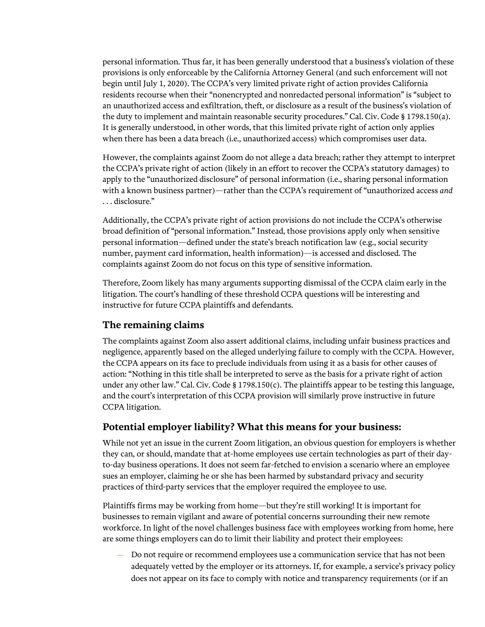personal information. Thus far, it has been generally understood that a business's violation of these provisions is only enforceable by the California Attorney General (and such enforcement will not begin until July 1, 2020). The CCPA's very limited private right of action provides California residents recourse when their "nonencrypted and nonredacted personal information" is "subject to an unauthorized access and exfiltration, theft, or disclosure as a result of the business's violation of the duty to implement and maintain reasonable security procedures." Cal. Civ. Code § 1798.150(a). It is generally understood, in other words, that this limited private right of action only applies when there has been a data breach (i.e., unauthorized access) which compromises user data.

However, the complaints against Zoom do not allege a data breach; rather they attempt to interpret the CCPA's private right of action (likely in an effort to recover the CCPA's statutory damages) to apply to the "unauthorized disclosure" of personal information (i.e., sharing personal information with a known business partner)—rather than the CCPA's requirement of "unauthorized access *and* . . . disclosure."

Additionally, the CCPA's private right of action provisions do not include the CCPA's otherwise broad definition of "personal information." Instead, those provisions apply only when sensitive personal information—defined under the state's breach notification law (e.g*.*, social security number, payment card information, health information)—is accessed and disclosed. The complaints against Zoom do not focus on this type of sensitive information.

Therefore, Zoom likely has many arguments supporting dismissal of the CCPA claim early in the litigation. The court's handling of these threshold CCPA questions will be interesting and instructive for future CCPA plaintiffs and defendants.

## **The remaining claims**

The complaints against Zoom also assert additional claims, including unfair business practices and negligence, apparently based on the alleged underlying failure to comply with the CCPA. However, the CCPA appears on its face to preclude individuals from using it as a basis for other causes of action: "Nothing in this title shall be interpreted to serve as the basis for a private right of action under any other law." Cal. Civ. Code § 1798.150(c). The plaintiffs appear to be testing this language, and the court's interpretation of this CCPA provision will similarly prove instructive in future CCPA litigation.

## **Potential employer liability? What this means for your business:**

While not yet an issue in the current Zoom litigation, an obvious question for employers is whether they can, or should, mandate that at-home employees use certain technologies as part of their dayto-day business operations. It does not seem far-fetched to envision a scenario where an employee sues an employer, claiming he or she has been harmed by substandard privacy and security practices of third-party services that the employer required the employee to use.

Plaintiffs firms may be working from home—but they're still working! It is important for businesses to remain vigilant and aware of potential concerns surrounding their new remote workforce. In light of the novel challenges business face with employees working from home, here are some things employers can do to limit their liability and protect their employees:

— Do not require or recommend employees use a communication service that has not been adequately vetted by the employer or its attorneys. If, for example, a service's privacy policy does not appear on its face to comply with notice and transparency requirements (or if an